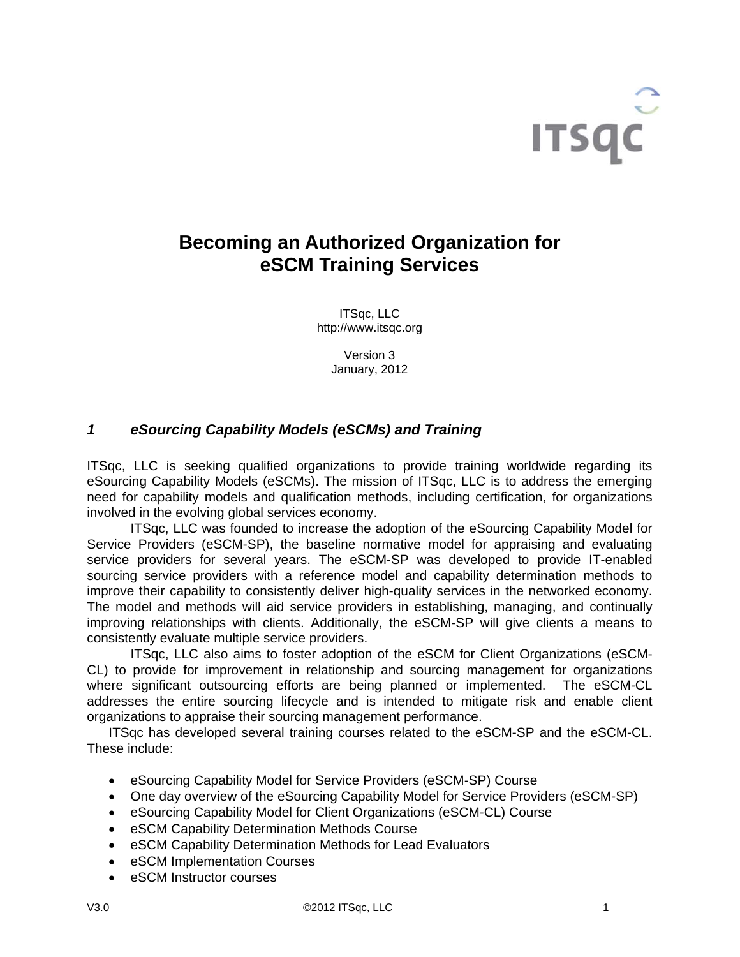

# **Becoming an Authorized Organization for eSCM Training Services**

ITSqc, LLC http://www.itsqc.org

> Version 3 January, 2012

# *1 eSourcing Capability Models (eSCMs) and Training*

ITSqc, LLC is seeking qualified organizations to provide training worldwide regarding its eSourcing Capability Models (eSCMs). The mission of ITSqc, LLC is to address the emerging need for capability models and qualification methods, including certification, for organizations involved in the evolving global services economy.

ITSqc, LLC was founded to increase the adoption of the eSourcing Capability Model for Service Providers (eSCM-SP), the baseline normative model for appraising and evaluating service providers for several years. The eSCM-SP was developed to provide IT-enabled sourcing service providers with a reference model and capability determination methods to improve their capability to consistently deliver high-quality services in the networked economy. The model and methods will aid service providers in establishing, managing, and continually improving relationships with clients. Additionally, the eSCM-SP will give clients a means to consistently evaluate multiple service providers.

ITSqc, LLC also aims to foster adoption of the eSCM for Client Organizations (eSCM-CL) to provide for improvement in relationship and sourcing management for organizations where significant outsourcing efforts are being planned or implemented. The eSCM-CL addresses the entire sourcing lifecycle and is intended to mitigate risk and enable client organizations to appraise their sourcing management performance.

ITSqc has developed several training courses related to the eSCM-SP and the eSCM-CL. These include:

- eSourcing Capability Model for Service Providers (eSCM-SP) Course
- One day overview of the eSourcing Capability Model for Service Providers (eSCM-SP)
- eSourcing Capability Model for Client Organizations (eSCM-CL) Course
- eSCM Capability Determination Methods Course
- eSCM Capability Determination Methods for Lead Evaluators
- eSCM Implementation Courses
- eSCM Instructor courses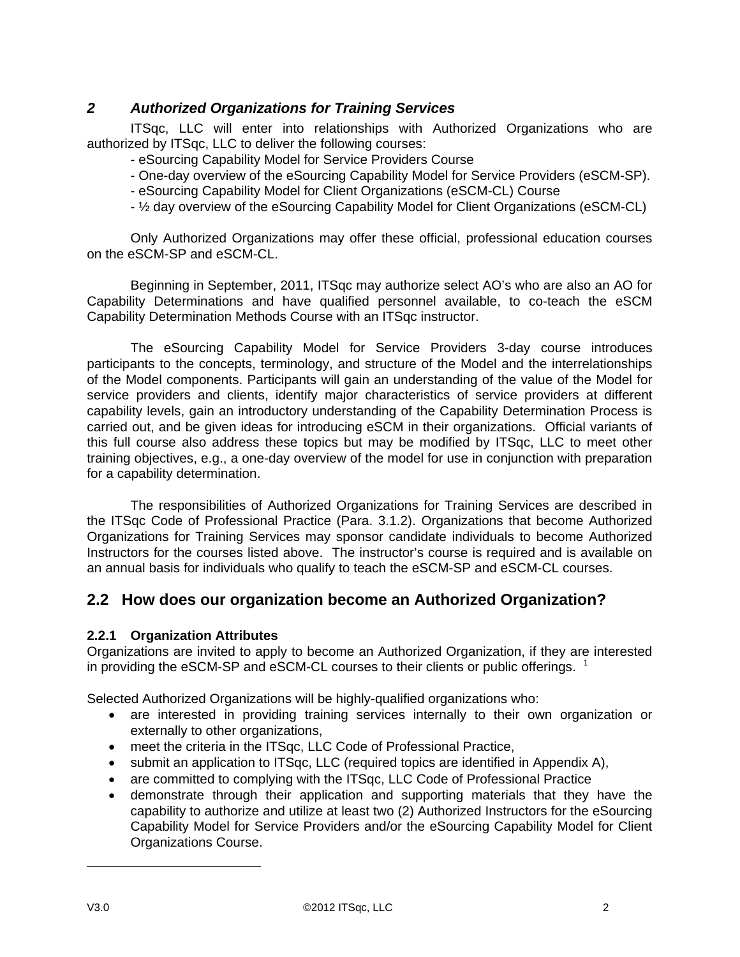# *2 Authorized Organizations for Training Services*

ITSqc, LLC will enter into relationships with Authorized Organizations who are authorized by ITSqc, LLC to deliver the following courses:

- eSourcing Capability Model for Service Providers Course
- One-day overview of the eSourcing Capability Model for Service Providers (eSCM-SP).
- eSourcing Capability Model for Client Organizations (eSCM-CL) Course
- ½ day overview of the eSourcing Capability Model for Client Organizations (eSCM-CL)

Only Authorized Organizations may offer these official, professional education courses on the eSCM-SP and eSCM-CL.

Beginning in September, 2011, ITSqc may authorize select AO's who are also an AO for Capability Determinations and have qualified personnel available, to co-teach the eSCM Capability Determination Methods Course with an ITSqc instructor.

 The eSourcing Capability Model for Service Providers 3-day course introduces participants to the concepts, terminology, and structure of the Model and the interrelationships of the Model components. Participants will gain an understanding of the value of the Model for service providers and clients, identify major characteristics of service providers at different capability levels, gain an introductory understanding of the Capability Determination Process is carried out, and be given ideas for introducing eSCM in their organizations. Official variants of this full course also address these topics but may be modified by ITSqc, LLC to meet other training objectives, e.g., a one-day overview of the model for use in conjunction with preparation for a capability determination.

The responsibilities of Authorized Organizations for Training Services are described in the ITSqc Code of Professional Practice (Para. 3.1.2). Organizations that become Authorized Organizations for Training Services may sponsor candidate individuals to become Authorized Instructors for the courses listed above. The instructor's course is required and is available on an annual basis for individuals who qualify to teach the eSCM-SP and eSCM-CL courses.

# **2.2 How does our organization become an Authorized Organization?**

#### **2.2.1 Organization Attributes**

Organizations are invited to apply to become an Authorized Organization, if they are interested in providing the eSCM-SP and eSCM-CL courses to their clients or public offerings.  $1$ 

Selected Authorized Organizations will be highly-qualified organizations who:

- are interested in providing training services internally to their own organization or externally to other organizations,
- meet the criteria in the ITSqc, LLC Code of Professional Practice,
- submit an application to ITSqc, LLC (required topics are identified in Appendix A),
- are committed to complying with the ITSqc, LLC Code of Professional Practice
- demonstrate through their application and supporting materials that they have the capability to authorize and utilize at least two (2) Authorized Instructors for the eSourcing Capability Model for Service Providers and/or the eSourcing Capability Model for Client Organizations Course.

 $\overline{a}$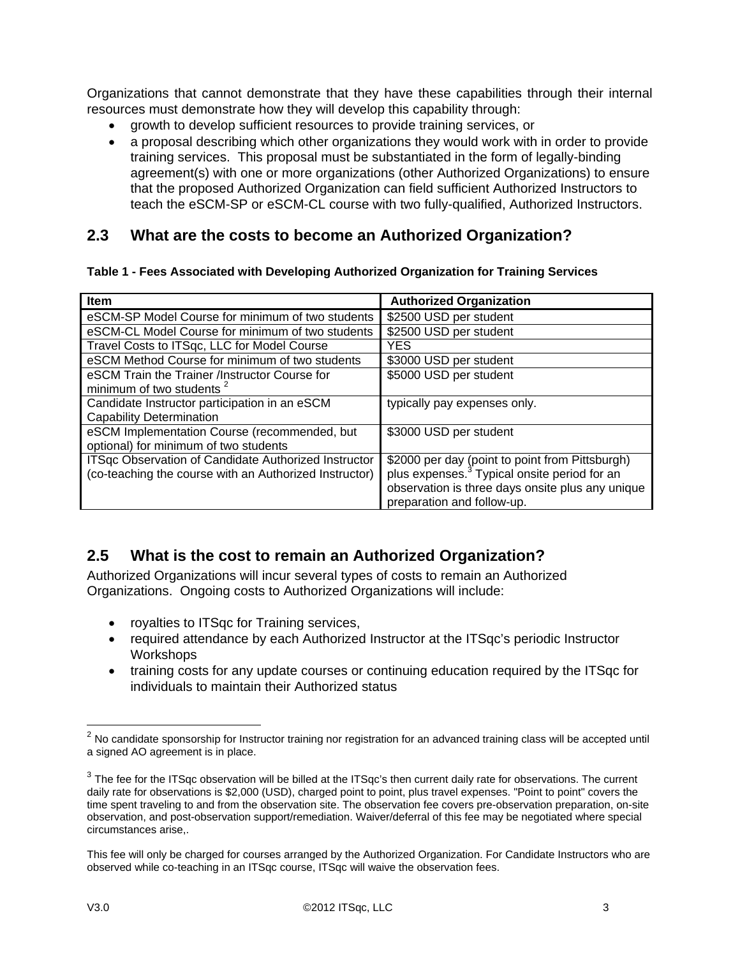Organizations that cannot demonstrate that they have these capabilities through their internal resources must demonstrate how they will develop this capability through:

- growth to develop sufficient resources to provide training services, or
- a proposal describing which other organizations they would work with in order to provide training services. This proposal must be substantiated in the form of legally-binding agreement(s) with one or more organizations (other Authorized Organizations) to ensure that the proposed Authorized Organization can field sufficient Authorized Instructors to teach the eSCM-SP or eSCM-CL course with two fully-qualified, Authorized Instructors.

# **2.3 What are the costs to become an Authorized Organization?**

#### **Table 1 - Fees Associated with Developing Authorized Organization for Training Services**

| <b>Item</b>                                            | <b>Authorized Organization</b>                           |
|--------------------------------------------------------|----------------------------------------------------------|
| eSCM-SP Model Course for minimum of two students       | \$2500 USD per student                                   |
| eSCM-CL Model Course for minimum of two students       | \$2500 USD per student                                   |
| Travel Costs to ITSqc, LLC for Model Course            | <b>YES</b>                                               |
| eSCM Method Course for minimum of two students         | \$3000 USD per student                                   |
| eSCM Train the Trainer /Instructor Course for          | \$5000 USD per student                                   |
| minimum of two students <sup>2</sup>                   |                                                          |
| Candidate Instructor participation in an eSCM          | typically pay expenses only.                             |
| <b>Capability Determination</b>                        |                                                          |
| eSCM Implementation Course (recommended, but           | \$3000 USD per student                                   |
| optional) for minimum of two students                  |                                                          |
| ITSqc Observation of Candidate Authorized Instructor   | \$2000 per day (point to point from Pittsburgh)          |
| (co-teaching the course with an Authorized Instructor) | plus expenses. <sup>3</sup> Typical onsite period for an |
|                                                        | observation is three days onsite plus any unique         |
|                                                        | preparation and follow-up.                               |

# **2.5 What is the cost to remain an Authorized Organization?**

Authorized Organizations will incur several types of costs to remain an Authorized Organizations. Ongoing costs to Authorized Organizations will include:

- royalties to ITSqc for Training services,
- required attendance by each Authorized Instructor at the ITSqc's periodic Instructor **Workshops**
- training costs for any update courses or continuing education required by the ITSqc for individuals to maintain their Authorized status

 $\overline{a}$ 

 $2$  No candidate sponsorship for Instructor training nor registration for an advanced training class will be accepted until a signed AO agreement is in place.

 $3$  The fee for the ITSqc observation will be billed at the ITSqc's then current daily rate for observations. The current daily rate for observations is \$2,000 (USD), charged point to point, plus travel expenses. "Point to point" covers the time spent traveling to and from the observation site. The observation fee covers pre-observation preparation, on-site observation, and post-observation support/remediation. Waiver/deferral of this fee may be negotiated where special circumstances arise,.

This fee will only be charged for courses arranged by the Authorized Organization. For Candidate Instructors who are observed while co-teaching in an ITSqc course, ITSqc will waive the observation fees.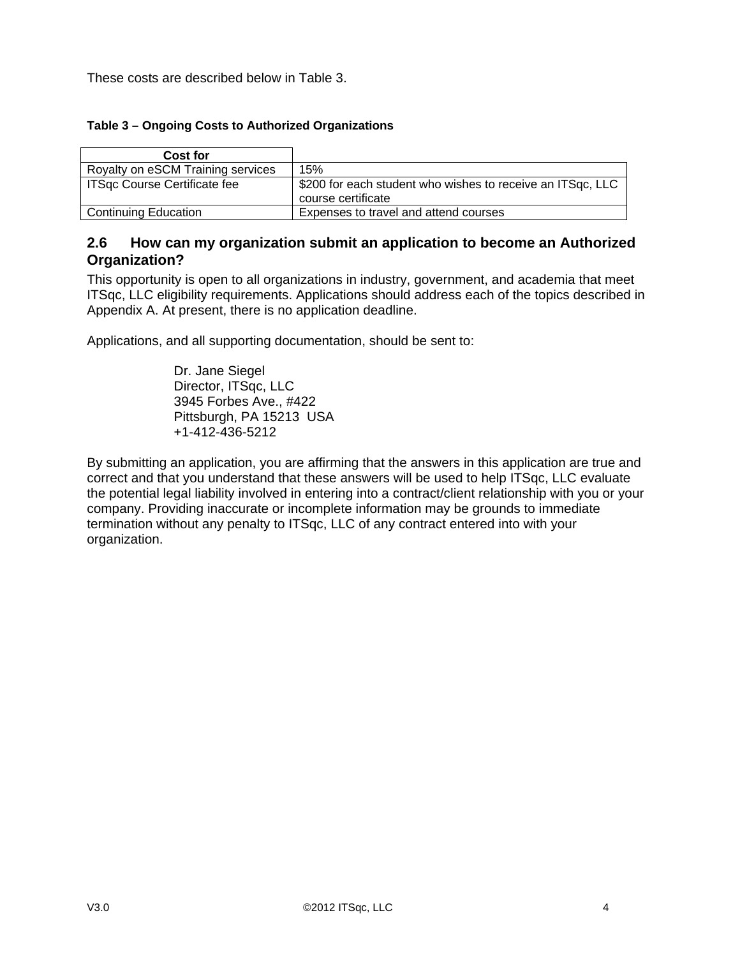These costs are described below in Table 3.

#### **Table 3 – Ongoing Costs to Authorized Organizations**

| Cost for                          |                                                                                  |
|-----------------------------------|----------------------------------------------------------------------------------|
| Royalty on eSCM Training services | 15%                                                                              |
| ITSqc Course Certificate fee      | \$200 for each student who wishes to receive an ITSqc, LLC<br>course certificate |
| <b>Continuing Education</b>       | Expenses to travel and attend courses                                            |

## **2.6 How can my organization submit an application to become an Authorized Organization?**

This opportunity is open to all organizations in industry, government, and academia that meet ITSqc, LLC eligibility requirements. Applications should address each of the topics described in Appendix A. At present, there is no application deadline.

Applications, and all supporting documentation, should be sent to:

Dr. Jane Siegel Director, ITSqc, LLC 3945 Forbes Ave., #422 Pittsburgh, PA 15213 USA +1-412-436-5212

By submitting an application, you are affirming that the answers in this application are true and correct and that you understand that these answers will be used to help ITSqc, LLC evaluate the potential legal liability involved in entering into a contract/client relationship with you or your company. Providing inaccurate or incomplete information may be grounds to immediate termination without any penalty to ITSqc, LLC of any contract entered into with your organization.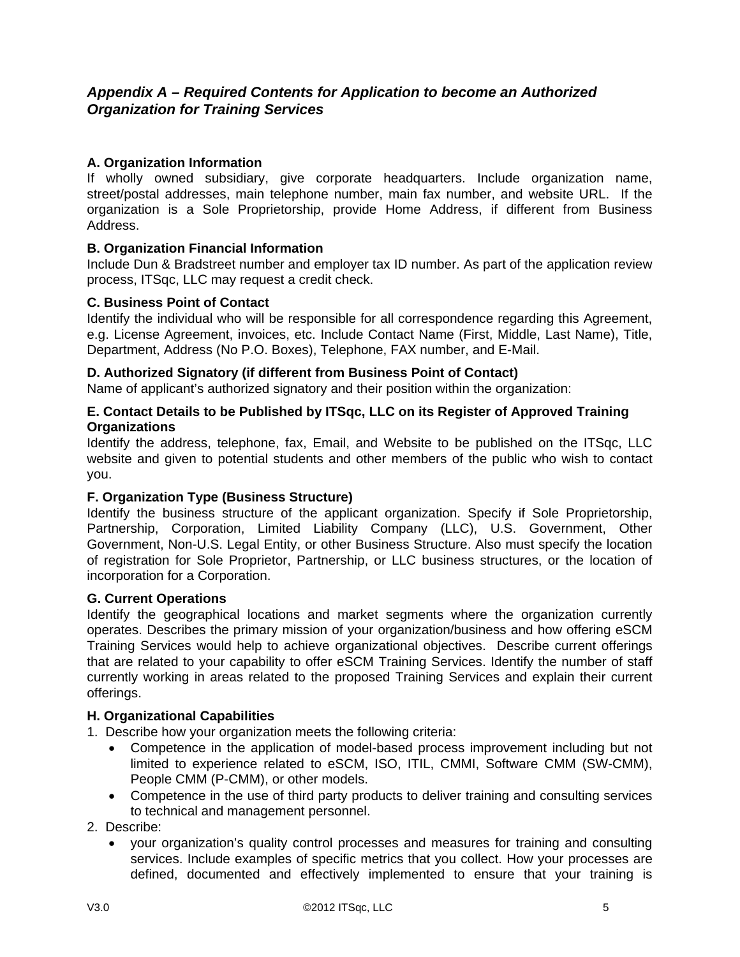# *Appendix A – Required Contents for Application to become an Authorized Organization for Training Services*

### **A. Organization Information**

If wholly owned subsidiary, give corporate headquarters. Include organization name, street/postal addresses, main telephone number, main fax number, and website URL. If the organization is a Sole Proprietorship, provide Home Address, if different from Business Address.

#### **B. Organization Financial Information**

Include Dun & Bradstreet number and employer tax ID number. As part of the application review process, ITSqc, LLC may request a credit check.

#### **C. Business Point of Contact**

Identify the individual who will be responsible for all correspondence regarding this Agreement, e.g. License Agreement, invoices, etc. Include Contact Name (First, Middle, Last Name), Title, Department, Address (No P.O. Boxes), Telephone, FAX number, and E-Mail.

#### **D. Authorized Signatory (if different from Business Point of Contact)**

Name of applicant's authorized signatory and their position within the organization:

#### **E. Contact Details to be Published by ITSqc, LLC on its Register of Approved Training Organizations**

Identify the address, telephone, fax, Email, and Website to be published on the ITSqc, LLC website and given to potential students and other members of the public who wish to contact you.

#### **F. Organization Type (Business Structure)**

Identify the business structure of the applicant organization. Specify if Sole Proprietorship, Partnership, Corporation, Limited Liability Company (LLC), U.S. Government, Other Government, Non-U.S. Legal Entity, or other Business Structure. Also must specify the location of registration for Sole Proprietor, Partnership, or LLC business structures, or the location of incorporation for a Corporation.

#### **G. Current Operations**

Identify the geographical locations and market segments where the organization currently operates. Describes the primary mission of your organization/business and how offering eSCM Training Services would help to achieve organizational objectives. Describe current offerings that are related to your capability to offer eSCM Training Services. Identify the number of staff currently working in areas related to the proposed Training Services and explain their current offerings.

#### **H. Organizational Capabilities**

- 1. Describe how your organization meets the following criteria:
	- Competence in the application of model-based process improvement including but not limited to experience related to eSCM, ISO, ITIL, CMMI, Software CMM (SW-CMM), People CMM (P-CMM), or other models.
	- Competence in the use of third party products to deliver training and consulting services to technical and management personnel.

#### 2. Describe:

 your organization's quality control processes and measures for training and consulting services. Include examples of specific metrics that you collect. How your processes are defined, documented and effectively implemented to ensure that your training is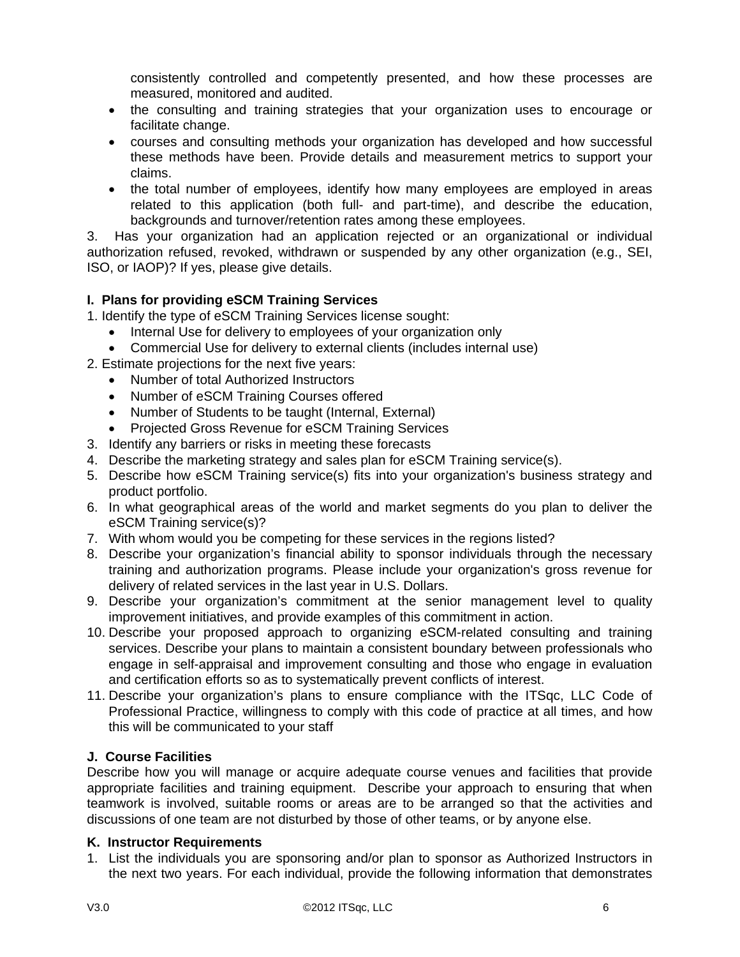consistently controlled and competently presented, and how these processes are measured, monitored and audited.

- the consulting and training strategies that your organization uses to encourage or facilitate change.
- courses and consulting methods your organization has developed and how successful these methods have been. Provide details and measurement metrics to support your claims.
- the total number of employees, identify how many employees are employed in areas related to this application (both full- and part-time), and describe the education, backgrounds and turnover/retention rates among these employees.

3. Has your organization had an application rejected or an organizational or individual authorization refused, revoked, withdrawn or suspended by any other organization (e.g., SEI, ISO, or IAOP)? If yes, please give details.

#### **I. Plans for providing eSCM Training Services**

1. Identify the type of eSCM Training Services license sought:

- Internal Use for delivery to employees of your organization only
- Commercial Use for delivery to external clients (includes internal use)
- 2. Estimate projections for the next five years:
	- Number of total Authorized Instructors
	- Number of eSCM Training Courses offered
	- Number of Students to be taught (Internal, External)
	- Projected Gross Revenue for eSCM Training Services
- 3. Identify any barriers or risks in meeting these forecasts
- 4. Describe the marketing strategy and sales plan for eSCM Training service(s).
- 5. Describe how eSCM Training service(s) fits into your organization's business strategy and product portfolio.
- 6. In what geographical areas of the world and market segments do you plan to deliver the eSCM Training service(s)?
- 7. With whom would you be competing for these services in the regions listed?
- 8. Describe your organization's financial ability to sponsor individuals through the necessary training and authorization programs. Please include your organization's gross revenue for delivery of related services in the last year in U.S. Dollars.
- 9. Describe your organization's commitment at the senior management level to quality improvement initiatives, and provide examples of this commitment in action.
- 10. Describe your proposed approach to organizing eSCM-related consulting and training services. Describe your plans to maintain a consistent boundary between professionals who engage in self-appraisal and improvement consulting and those who engage in evaluation and certification efforts so as to systematically prevent conflicts of interest.
- 11. Describe your organization's plans to ensure compliance with the ITSqc, LLC Code of Professional Practice, willingness to comply with this code of practice at all times, and how this will be communicated to your staff

#### **J. Course Facilities**

Describe how you will manage or acquire adequate course venues and facilities that provide appropriate facilities and training equipment. Describe your approach to ensuring that when teamwork is involved, suitable rooms or areas are to be arranged so that the activities and discussions of one team are not disturbed by those of other teams, or by anyone else.

#### **K. Instructor Requirements**

1. List the individuals you are sponsoring and/or plan to sponsor as Authorized Instructors in the next two years. For each individual, provide the following information that demonstrates